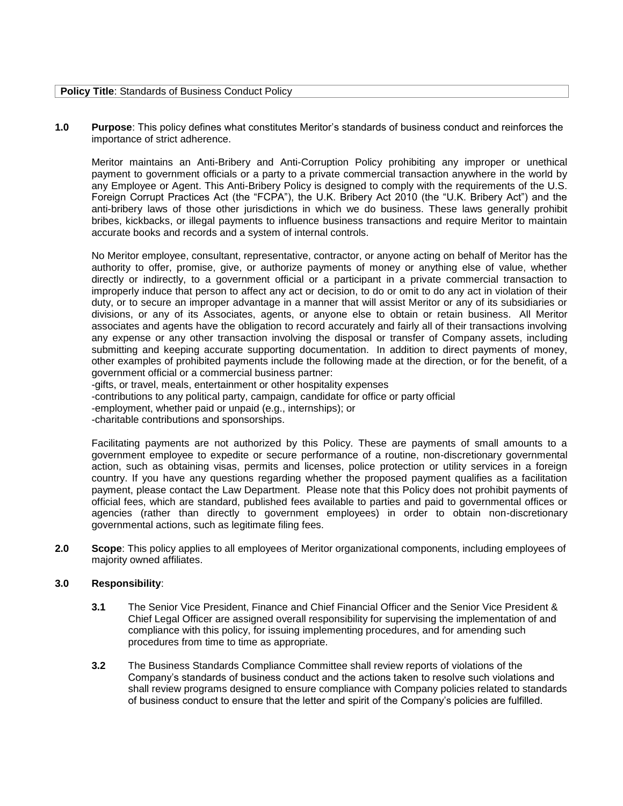| <b>Policy Title: Standards of Business Conduct Policy</b> |
|-----------------------------------------------------------|
|-----------------------------------------------------------|

**1.0 Purpose**: This policy defines what constitutes Meritor's standards of business conduct and reinforces the importance of strict adherence.

Meritor maintains an Anti-Bribery and Anti-Corruption Policy prohibiting any improper or unethical payment to government officials or a party to a private commercial transaction anywhere in the world by any Employee or Agent. This Anti-Bribery Policy is designed to comply with the requirements of the U.S. Foreign Corrupt Practices Act (the "FCPA"), the U.K. Bribery Act 2010 (the "U.K. Bribery Act") and the anti-bribery laws of those other jurisdictions in which we do business. These laws generally prohibit bribes, kickbacks, or illegal payments to influence business transactions and require Meritor to maintain accurate books and records and a system of internal controls.

No Meritor employee, consultant, representative, contractor, or anyone acting on behalf of Meritor has the authority to offer, promise, give, or authorize payments of money or anything else of value, whether directly or indirectly, to a government official or a participant in a private commercial transaction to improperly induce that person to affect any act or decision, to do or omit to do any act in violation of their duty, or to secure an improper advantage in a manner that will assist Meritor or any of its subsidiaries or divisions, or any of its Associates, agents, or anyone else to obtain or retain business. All Meritor associates and agents have the obligation to record accurately and fairly all of their transactions involving any expense or any other transaction involving the disposal or transfer of Company assets, including submitting and keeping accurate supporting documentation. In addition to direct payments of money, other examples of prohibited payments include the following made at the direction, or for the benefit, of a government official or a commercial business partner:

-gifts, or travel, meals, entertainment or other hospitality expenses -contributions to any political party, campaign, candidate for office or party official -employment, whether paid or unpaid (e.g., internships); or -charitable contributions and sponsorships.

Facilitating payments are not authorized by this Policy. These are payments of small amounts to a government employee to expedite or secure performance of a routine, non-discretionary governmental action, such as obtaining visas, permits and licenses, police protection or utility services in a foreign country. If you have any questions regarding whether the proposed payment qualifies as a facilitation payment, please contact the Law Department. Please note that this Policy does not prohibit payments of official fees, which are standard, published fees available to parties and paid to governmental offices or agencies (rather than directly to government employees) in order to obtain non-discretionary governmental actions, such as legitimate filing fees.

**2.0 Scope**: This policy applies to all employees of Meritor organizational components, including employees of majority owned affiliates.

#### **3.0 Responsibility**:

- **3.1** The Senior Vice President, Finance and Chief Financial Officer and the Senior Vice President & Chief Legal Officer are assigned overall responsibility for supervising the implementation of and compliance with this policy, for issuing implementing procedures, and for amending such procedures from time to time as appropriate.
- **3.2** The Business Standards Compliance Committee shall review reports of violations of the Company's standards of business conduct and the actions taken to resolve such violations and shall review programs designed to ensure compliance with Company policies related to standards of business conduct to ensure that the letter and spirit of the Company's policies are fulfilled.